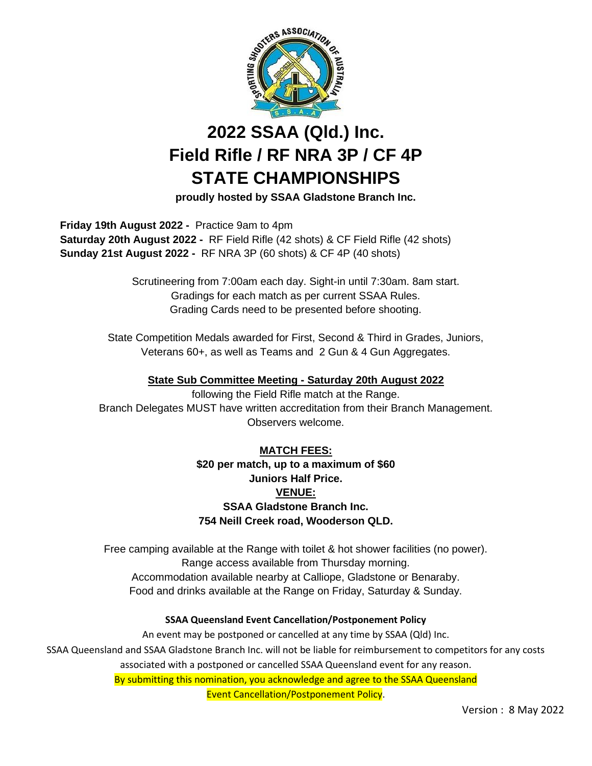

# **2022 SSAA (Qld.) Inc. Field Rifle / RF NRA 3P / CF 4P STATE CHAMPIONSHIPS**

**proudly hosted by SSAA Gladstone Branch Inc.**

 **Friday 19th August 2022 -** Practice 9am to 4pm  **Saturday 20th August 2022 -** RF Field Rifle (42 shots) & CF Field Rifle (42 shots)  **Sunday 21st August 2022 -** RF NRA 3P (60 shots) & CF 4P (40 shots)

> Scrutineering from 7:00am each day. Sight-in until 7:30am. 8am start. Gradings for each match as per current SSAA Rules. Grading Cards need to be presented before shooting.

State Competition Medals awarded for First, Second & Third in Grades, Juniors, Veterans 60+, as well as Teams and 2 Gun & 4 Gun Aggregates.

**State Sub Committee Meeting - Saturday 20th August 2022**

following the Field Rifle match at the Range. Branch Delegates MUST have written accreditation from their Branch Management. Observers welcome.

### **MATCH FEES: \$20 per match, up to a maximum of \$60 Juniors Half Price. VENUE: SSAA Gladstone Branch Inc. 754 Neill Creek road, Wooderson QLD.**

Free camping available at the Range with toilet & hot shower facilities (no power). Range access available from Thursday morning. Accommodation available nearby at Calliope, Gladstone or Benaraby. Food and drinks available at the Range on Friday, Saturday & Sunday.

#### **SSAA Queensland Event Cancellation/Postponement Policy**

An event may be postponed or cancelled at any time by SSAA (Qld) Inc. SSAA Queensland and SSAA Gladstone Branch Inc. will not be liable for reimbursement to competitors for any costs associated with a postponed or cancelled SSAA Queensland event for any reason. By submitting this nomination, you acknowledge and agree to the SSAA Queensland

Event Cancellation/Postponement Policy.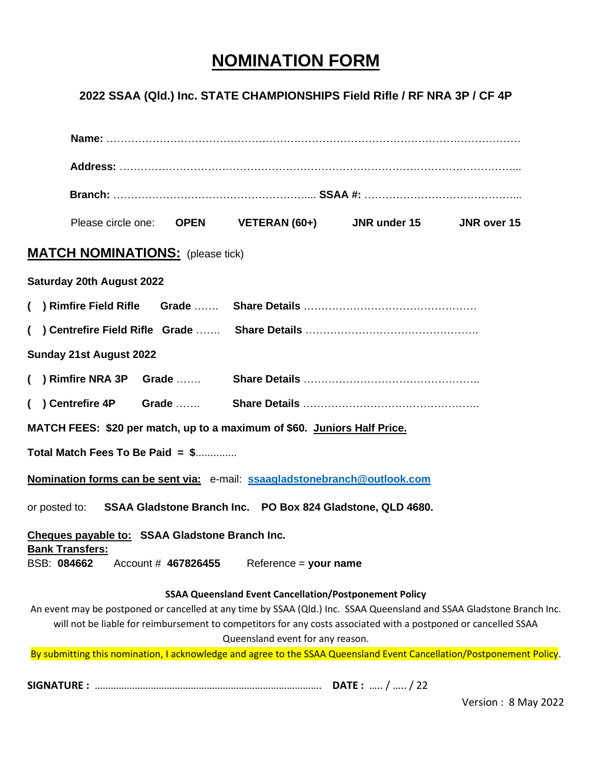## **NOMINATION FORM**

## **2022 SSAA (Qld.) Inc. STATE CHAMPIONSHIPS Field Rifle / RF NRA 3P / CF 4P**

| Please circle one: <b>OPEN</b> VETERAN (60+) JNR under 15 JNR over 15<br><b>MATCH NOMINATIONS:</b> (please tick)                                    |  |
|-----------------------------------------------------------------------------------------------------------------------------------------------------|--|
|                                                                                                                                                     |  |
|                                                                                                                                                     |  |
|                                                                                                                                                     |  |
|                                                                                                                                                     |  |
| <b>Saturday 20th August 2022</b>                                                                                                                    |  |
|                                                                                                                                                     |  |
|                                                                                                                                                     |  |
| <b>Sunday 21st August 2022</b>                                                                                                                      |  |
|                                                                                                                                                     |  |
|                                                                                                                                                     |  |
| MATCH FEES: \$20 per match, up to a maximum of \$60. Juniors Half Price.                                                                            |  |
| Total Match Fees To Be Paid = \$                                                                                                                    |  |
| Nomination forms can be sent via: e-mail: ssaagladstonebranch@outlook.com                                                                           |  |
| or posted to: SSAA Gladstone Branch Inc. PO Box 824 Gladstone, QLD 4680.                                                                            |  |
| Cheques payable to: SSAA Gladstone Branch Inc.                                                                                                      |  |
| <b>Bank Transfers:</b><br>BSB: 084662<br>Account # 467826455<br>$Reference = your name$                                                             |  |
| <b>SSAA Queensland Event Cancellation/Postponement Policy</b>                                                                                       |  |
| An event may be postponed or cancelled at any time by SSAA (Qld.) Inc. SSAA Queensland and SSAA Gladstone Branch Inc.                               |  |
| will not be liable for reimbursement to competitors for any costs associated with a postponed or cancelled SSAA<br>Queensland event for any reason. |  |
| By submitting this nomination, I acknowledge and agree to the SSAA Queensland Event Cancellation/Postponement Policy.                               |  |

Version : 8 May 2022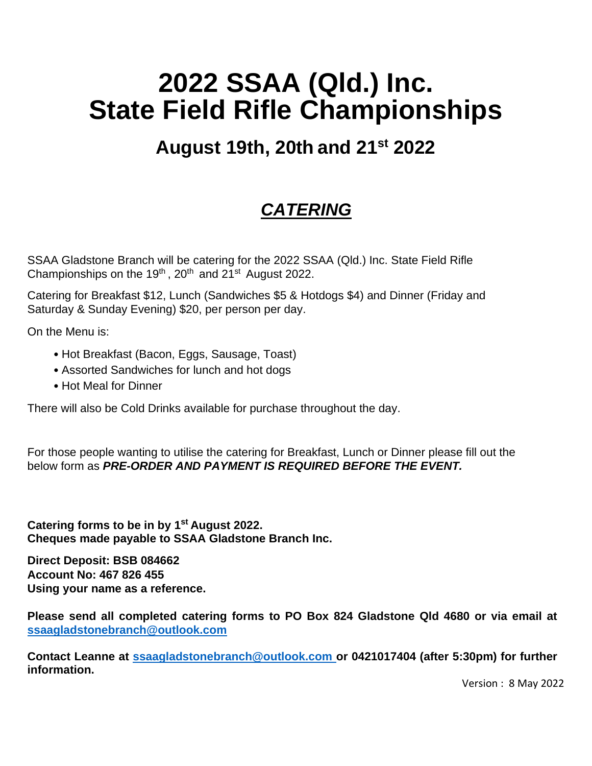# **2022 SSAA (Qld.) Inc. State Field Rifle Championships**

# **August 19th, 20th and 21 st 2022**

# *CATERING*

SSAA Gladstone Branch will be catering for the 2022 SSAA (Qld.) Inc. State Field Rifle Championships on the 19<sup>th</sup>, 20<sup>th</sup> and 21<sup>st</sup> August 2022.

Catering for Breakfast \$12, Lunch (Sandwiches \$5 & Hotdogs \$4) and Dinner (Friday and Saturday & Sunday Evening) \$20, per person per day.

On the Menu is:

- Hot Breakfast (Bacon, Eggs, Sausage, Toast)
- Assorted Sandwiches for lunch and hot dogs
- Hot Meal for Dinner

There will also be Cold Drinks available for purchase throughout the day.

For those people wanting to utilise the catering for Breakfast, Lunch or Dinner please fill out the below form as *PRE-ORDER AND PAYMENT IS REQUIRED BEFORE THE EVENT.*

**Catering forms to be in by 1st August 2022. Cheques made payable to SSAA Gladstone Branch Inc.**

**Direct Deposit: BSB 084662 Account No: 467 826 455 Using your name as a reference.**

**Please send all completed catering forms to PO Box 824 Gladstone Qld 4680 or via email at [ssaagladstonebranch@outlook.com](mailto:ssaagladstonebranch@outlook.com)**

**Contact Leanne at ssaagladstonebranch@outlook.com or 0421017404 (after 5:30pm) for further information.**

Version : 8 May 2022